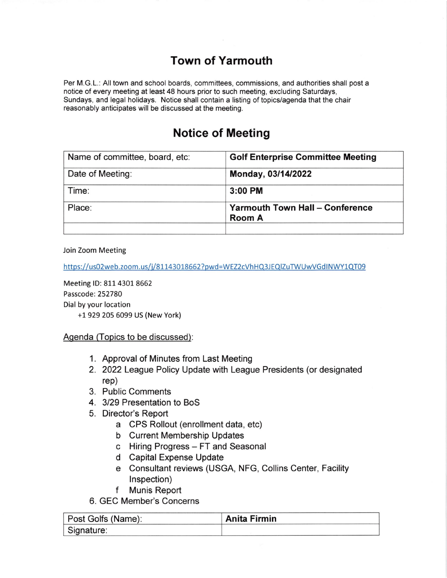## Town of Yarmouth

Per M.G.L.: All town and school boards, committees, commissions, and authorities shall post a notice of every meeting at least 48 hours prior to such meeting, excluding Saturdays, Sundays, and legal holidays. Notice shall contain a listing of topics/agenda that the chair reasonably anticipates will be discussed at the meeting.

## Notice of Meeting

| Name of committee, board, etc: | <b>Golf Enterprise Committee Meeting</b>                |
|--------------------------------|---------------------------------------------------------|
| Date of Meeting:               | Monday, 03/14/2022                                      |
| Time:                          | $3:00$ PM                                               |
| Place:                         | <b>Yarmouth Town Hall - Conference</b><br><b>Room A</b> |
|                                |                                                         |

Join Zoom Meeting

https://us02web.zoom.us/j/81143018662?pwd=WEZ2cVhHQ3JEQlZuTWUwVGdINWY1QT09

Meeting lD: 811 4301 8662 Passcode: 252780 Dial by your location +1 929 205 6099 US (New York)

Agenda (Topics to be discussed):

- 1. Approval of Minutes from Last Meeting
- 2. 2022 League Policy Update with League Presidents (or designated rep)
- 3. Public Comments
- 4. 3/29 Presentation to BoS
- 5. Director's Report
	- a CPS Rollout (enrollment data, etc)
	- b Current Membership Updates
	- c Hiring Progress FT and Seasonal
	- d Capital Expense Update
	- e Consultant reviews (USGA, NFG, Collins Center, Facility Inspection)
	- f Munis Report

6. GEC Member's Concerns

| Post Golfs (Name): | <b>Anita Firmin</b> |
|--------------------|---------------------|
| Signature:         |                     |